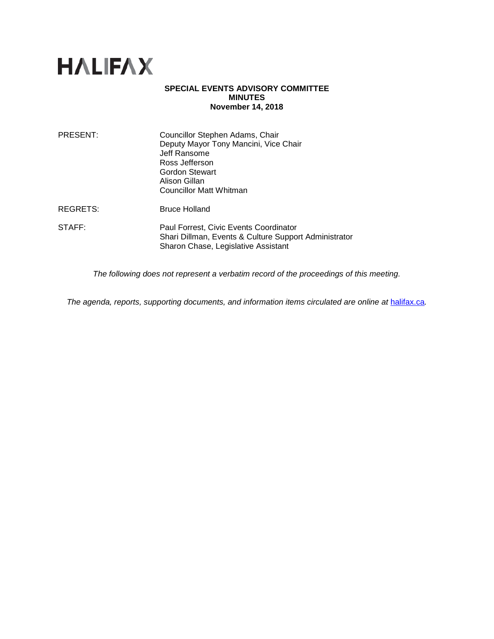

## **SPECIAL EVENTS ADVISORY COMMITTEE MINUTES November 14, 2018**

| PRESENT:        | Councillor Stephen Adams, Chair<br>Deputy Mayor Tony Mancini, Vice Chair<br>Jeff Ransome<br>Ross Jefferson<br>Gordon Stewart<br>Alison Gillan<br><b>Councillor Matt Whitman</b> |
|-----------------|---------------------------------------------------------------------------------------------------------------------------------------------------------------------------------|
| <b>REGRETS:</b> | <b>Bruce Holland</b>                                                                                                                                                            |
| STAFF:          | Paul Forrest, Civic Events Coordinator<br>Shari Dillman, Events & Culture Support Administrator<br>Sharon Chase, Legislative Assistant                                          |

*The following does not represent a verbatim record of the proceedings of this meeting.*

*The agenda, reports, supporting documents, and information items circulated are online at [halifax.ca](http://www.halifax.ca/).*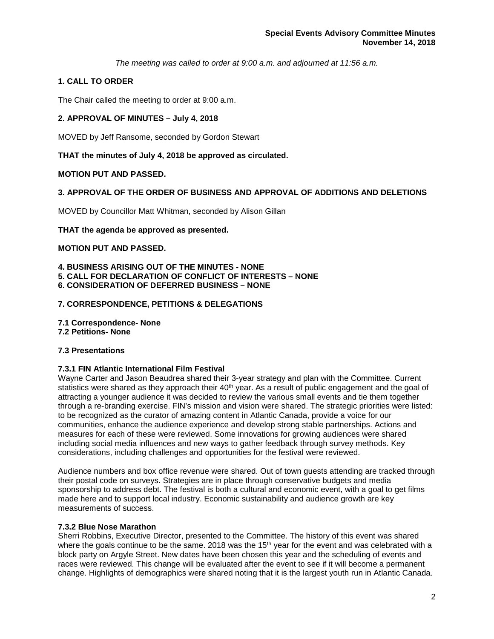*The meeting was called to order at 9:00 a.m. and adjourned at 11:56 a.m.*

# **1. CALL TO ORDER**

The Chair called the meeting to order at 9:00 a.m.

## **2. APPROVAL OF MINUTES – July 4, 2018**

MOVED by Jeff Ransome, seconded by Gordon Stewart

## **THAT the minutes of July 4, 2018 be approved as circulated.**

## **MOTION PUT AND PASSED.**

## **3. APPROVAL OF THE ORDER OF BUSINESS AND APPROVAL OF ADDITIONS AND DELETIONS**

MOVED by Councillor Matt Whitman, seconded by Alison Gillan

## **THAT the agenda be approved as presented.**

## **MOTION PUT AND PASSED.**

- **4. BUSINESS ARISING OUT OF THE MINUTES - NONE**
- **5. CALL FOR DECLARATION OF CONFLICT OF INTERESTS – NONE**
- **6. CONSIDERATION OF DEFERRED BUSINESS – NONE**

## **7. CORRESPONDENCE, PETITIONS & DELEGATIONS**

- **7.1 Correspondence- None**
- **7.2 Petitions- None**

## **7.3 Presentations**

### **7.3.1 FIN Atlantic International Film Festival**

Wayne Carter and Jason Beaudrea shared their 3-year strategy and plan with the Committee. Current statistics were shared as they approach their 40<sup>th</sup> year. As a result of public engagement and the goal of attracting a younger audience it was decided to review the various small events and tie them together through a re-branding exercise. FIN's mission and vision were shared. The strategic priorities were listed: to be recognized as the curator of amazing content in Atlantic Canada, provide a voice for our communities, enhance the audience experience and develop strong stable partnerships. Actions and measures for each of these were reviewed. Some innovations for growing audiences were shared including social media influences and new ways to gather feedback through survey methods. Key considerations, including challenges and opportunities for the festival were reviewed.

Audience numbers and box office revenue were shared. Out of town guests attending are tracked through their postal code on surveys. Strategies are in place through conservative budgets and media sponsorship to address debt. The festival is both a cultural and economic event, with a goal to get films made here and to support local industry. Economic sustainability and audience growth are key measurements of success.

### **7.3.2 Blue Nose Marathon**

Sherri Robbins, Executive Director, presented to the Committee. The history of this event was shared where the goals continue to be the same. 2018 was the 15<sup>th</sup> year for the event and was celebrated with a block party on Argyle Street. New dates have been chosen this year and the scheduling of events and races were reviewed. This change will be evaluated after the event to see if it will become a permanent change. Highlights of demographics were shared noting that it is the largest youth run in Atlantic Canada.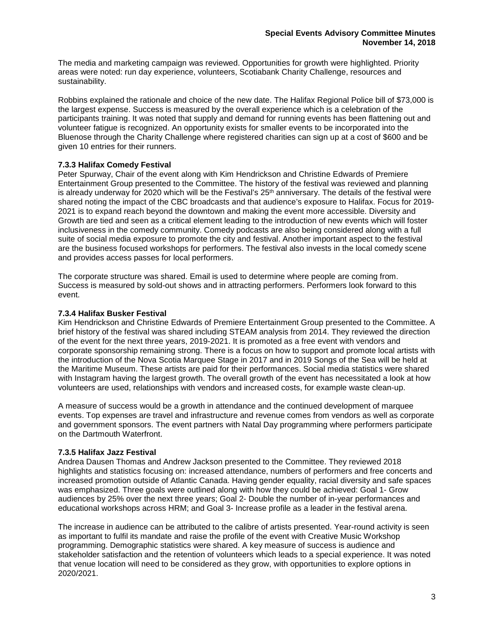The media and marketing campaign was reviewed. Opportunities for growth were highlighted. Priority areas were noted: run day experience, volunteers, Scotiabank Charity Challenge, resources and sustainability.

Robbins explained the rationale and choice of the new date. The Halifax Regional Police bill of \$73,000 is the largest expense. Success is measured by the overall experience which is a celebration of the participants training. It was noted that supply and demand for running events has been flattening out and volunteer fatigue is recognized. An opportunity exists for smaller events to be incorporated into the Bluenose through the Charity Challenge where registered charities can sign up at a cost of \$600 and be given 10 entries for their runners.

## **7.3.3 Halifax Comedy Festival**

Peter Spurway, Chair of the event along with Kim Hendrickson and Christine Edwards of Premiere Entertainment Group presented to the Committee. The history of the festival was reviewed and planning is already underway for 2020 which will be the Festival's  $25<sup>th</sup>$  anniversary. The details of the festival were shared noting the impact of the CBC broadcasts and that audience's exposure to Halifax. Focus for 2019- 2021 is to expand reach beyond the downtown and making the event more accessible. Diversity and Growth are tied and seen as a critical element leading to the introduction of new events which will foster inclusiveness in the comedy community. Comedy podcasts are also being considered along with a full suite of social media exposure to promote the city and festival. Another important aspect to the festival are the business focused workshops for performers. The festival also invests in the local comedy scene and provides access passes for local performers.

The corporate structure was shared. Email is used to determine where people are coming from. Success is measured by sold-out shows and in attracting performers. Performers look forward to this event.

## **7.3.4 Halifax Busker Festival**

Kim Hendrickson and Christine Edwards of Premiere Entertainment Group presented to the Committee. A brief history of the festival was shared including STEAM analysis from 2014. They reviewed the direction of the event for the next three years, 2019-2021. It is promoted as a free event with vendors and corporate sponsorship remaining strong. There is a focus on how to support and promote local artists with the introduction of the Nova Scotia Marquee Stage in 2017 and in 2019 Songs of the Sea will be held at the Maritime Museum. These artists are paid for their performances. Social media statistics were shared with Instagram having the largest growth. The overall growth of the event has necessitated a look at how volunteers are used, relationships with vendors and increased costs, for example waste clean-up.

A measure of success would be a growth in attendance and the continued development of marquee events. Top expenses are travel and infrastructure and revenue comes from vendors as well as corporate and government sponsors. The event partners with Natal Day programming where performers participate on the Dartmouth Waterfront.

## **7.3.5 Halifax Jazz Festival**

Andrea Dausen Thomas and Andrew Jackson presented to the Committee. They reviewed 2018 highlights and statistics focusing on: increased attendance, numbers of performers and free concerts and increased promotion outside of Atlantic Canada. Having gender equality, racial diversity and safe spaces was emphasized. Three goals were outlined along with how they could be achieved: Goal 1- Grow audiences by 25% over the next three years; Goal 2- Double the number of in-year performances and educational workshops across HRM; and Goal 3- Increase profile as a leader in the festival arena.

The increase in audience can be attributed to the calibre of artists presented. Year-round activity is seen as important to fulfil its mandate and raise the profile of the event with Creative Music Workshop programming. Demographic statistics were shared. A key measure of success is audience and stakeholder satisfaction and the retention of volunteers which leads to a special experience. It was noted that venue location will need to be considered as they grow, with opportunities to explore options in 2020/2021.